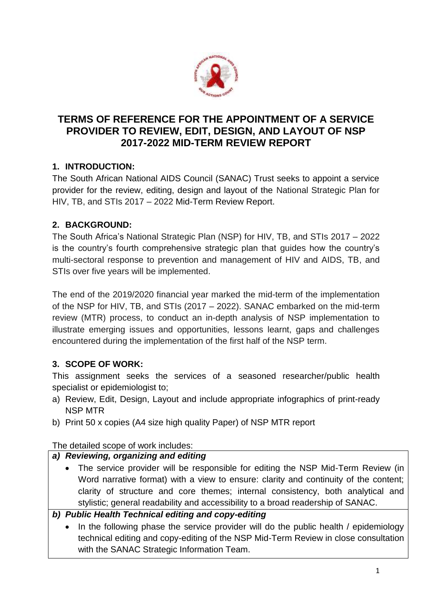

# **TERMS OF REFERENCE FOR THE APPOINTMENT OF A SERVICE PROVIDER TO REVIEW, EDIT, DESIGN, AND LAYOUT OF NSP 2017-2022 MID-TERM REVIEW REPORT**

# **1. INTRODUCTION:**

The South African National AIDS Council (SANAC) Trust seeks to appoint a service provider for the review, editing, design and layout of the National Strategic Plan for HIV, TB, and STIs 2017 – 2022 Mid-Term Review Report.

# **2. BACKGROUND:**

The South Africa's National Strategic Plan (NSP) for HIV, TB, and STIs 2017 – 2022 is the country's fourth comprehensive strategic plan that guides how the country's multi-sectoral response to prevention and management of HIV and AIDS, TB, and STIs over five years will be implemented.

The end of the 2019/2020 financial year marked the mid-term of the implementation of the NSP for HIV, TB, and STIs (2017 – 2022). SANAC embarked on the mid-term review (MTR) process, to conduct an in-depth analysis of NSP implementation to illustrate emerging issues and opportunities, lessons learnt, gaps and challenges encountered during the implementation of the first half of the NSP term.

# **3. SCOPE OF WORK:**

This assignment seeks the services of a seasoned researcher/public health specialist or epidemiologist to;

- a) Review, Edit, Design, Layout and include appropriate infographics of print-ready NSP MTR
- b) Print 50 x copies (A4 size high quality Paper) of NSP MTR report

The detailed scope of work includes:

# *a) Reviewing, organizing and editing*

 The service provider will be responsible for editing the NSP Mid-Term Review (in Word narrative format) with a view to ensure: clarity and continuity of the content; clarity of structure and core themes; internal consistency, both analytical and stylistic; general readability and accessibility to a broad readership of SANAC.

# *b) Public Health Technical editing and copy-editing*

 In the following phase the service provider will do the public health / epidemiology technical editing and copy-editing of the NSP Mid-Term Review in close consultation with the SANAC Strategic Information Team.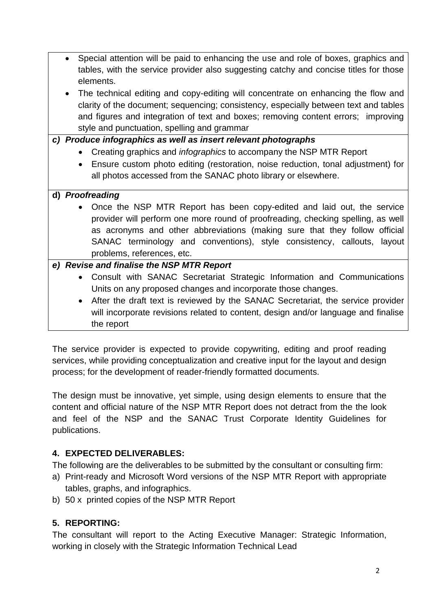- Special attention will be paid to enhancing the use and role of boxes, graphics and tables, with the service provider also suggesting catchy and concise titles for those elements.
- The technical editing and copy-editing will concentrate on enhancing the flow and clarity of the document; sequencing; consistency, especially between text and tables and figures and integration of text and boxes; removing content errors; improving style and punctuation, spelling and grammar

#### *c) Produce infographics as well as insert relevant photographs*

- Creating graphics and *infographics* to accompany the NSP MTR Report
- Ensure custom photo editing (restoration, noise reduction, tonal adjustment) for all photos accessed from the SANAC photo library or elsewhere.

#### **d)** *Proofreading*

 Once the NSP MTR Report has been copy-edited and laid out, the service provider will perform one more round of proofreading, checking spelling, as well as acronyms and other abbreviations (making sure that they follow official SANAC terminology and conventions), style consistency, callouts, layout problems, references, etc.

### *e) Revise and finalise the NSP MTR Report*

- Consult with SANAC Secretariat Strategic Information and Communications Units on any proposed changes and incorporate those changes.
- After the draft text is reviewed by the SANAC Secretariat, the service provider will incorporate revisions related to content, design and/or language and finalise the report

The service provider is expected to provide copywriting, editing and proof reading services, while providing conceptualization and creative input for the layout and design process; for the development of reader-friendly formatted documents.

The design must be innovative, yet simple, using design elements to ensure that the content and official nature of the NSP MTR Report does not detract from the the look and feel of the NSP and the SANAC Trust Corporate Identity Guidelines for publications.

#### **4. EXPECTED DELIVERABLES:**

The following are the deliverables to be submitted by the consultant or consulting firm:

- a) Print-ready and Microsoft Word versions of the NSP MTR Report with appropriate tables, graphs, and infographics.
- b) 50 x printed copies of the NSP MTR Report

# **5. REPORTING:**

The consultant will report to the Acting Executive Manager: Strategic Information, working in closely with the Strategic Information Technical Lead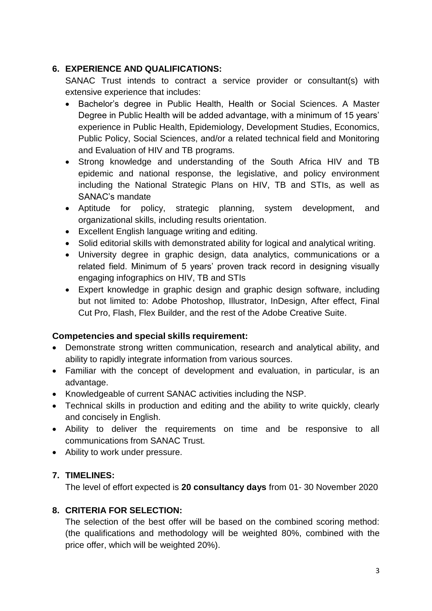### **6. EXPERIENCE AND QUALIFICATIONS:**

SANAC Trust intends to contract a service provider or consultant(s) with extensive experience that includes:

- Bachelor's degree in Public Health, Health or Social Sciences. A Master Degree in Public Health will be added advantage, with a minimum of 15 years' experience in Public Health, Epidemiology, Development Studies, Economics, Public Policy, Social Sciences, and/or a related technical field and Monitoring and Evaluation of HIV and TB programs.
- Strong knowledge and understanding of the South Africa HIV and TB epidemic and national response, the legislative, and policy environment including the National Strategic Plans on HIV, TB and STIs, as well as SANAC's mandate
- Aptitude for policy, strategic planning, system development, and organizational skills, including results orientation.
- Excellent English language writing and editing.
- Solid editorial skills with demonstrated ability for logical and analytical writing.
- University degree in graphic design, data analytics, communications or a related field. Minimum of 5 years' proven track record in designing visually engaging infographics on HIV, TB and STIs
- Expert knowledge in graphic design and graphic design software, including but not limited to: Adobe Photoshop, Illustrator, InDesign, After effect, Final Cut Pro, Flash, Flex Builder, and the rest of the Adobe Creative Suite.

# **Competencies and special skills requirement:**

- Demonstrate strong written communication, research and analytical ability, and ability to rapidly integrate information from various sources.
- Familiar with the concept of development and evaluation, in particular, is an advantage.
- Knowledgeable of current SANAC activities including the NSP.
- Technical skills in production and editing and the ability to write quickly, clearly and concisely in English.
- Ability to deliver the requirements on time and be responsive to all communications from SANAC Trust.
- Ability to work under pressure.

# **7. TIMELINES:**

The level of effort expected is **20 consultancy days** from 01- 30 November 2020

# **8. CRITERIA FOR SELECTION:**

The selection of the best offer will be based on the combined scoring method: (the qualifications and methodology will be weighted 80%, combined with the price offer, which will be weighted 20%).